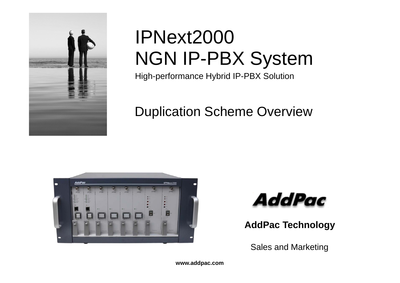

# IPNext2000 NGN IP-PBX System

High-performance Hybrid IP-PBX Solution

# Duplication Scheme Overview





**AddPac Technology**

Sales and Marketing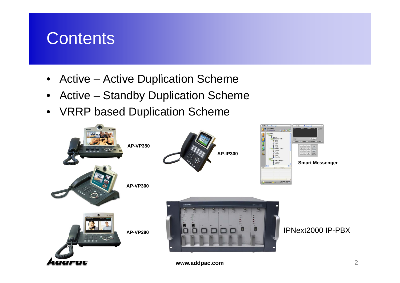# **Contents**

- Active Active Duplication Scheme
- $\bullet$ Active – Standby Duplication Scheme
- VRRP based Duplication Scheme

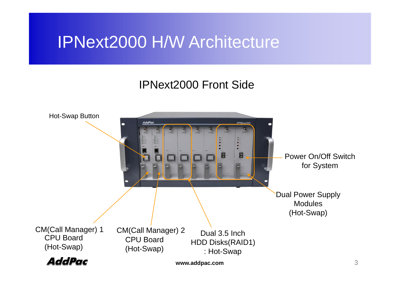# IPNext2000 H/W Architecture

#### IPNext2000 Front Side

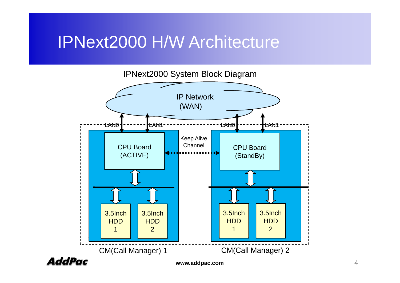# IPNext2000 H/W Architecture



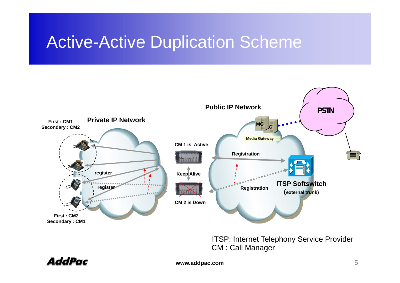# **Active-Active Duplication Scheme**



ITSP: Internet Telephony Service Provider CM : Call Manager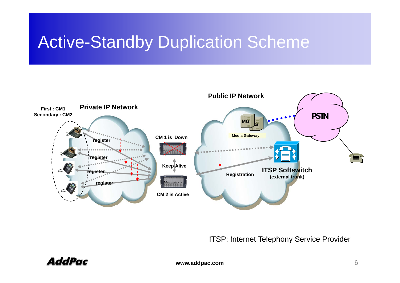# **Active-Standby Duplication Scheme**



ITSP: Internet Telephony Service Provider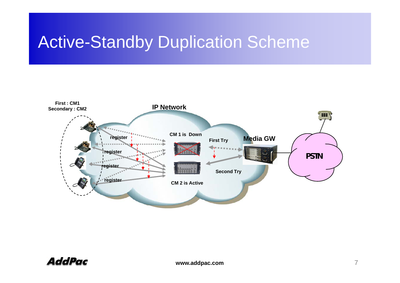# **Active-Standby Duplication Scheme**

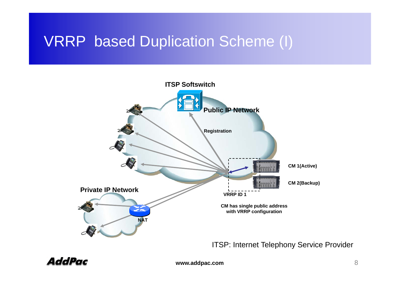#### VRRP based Duplication Scheme (I) (I)



ITSP: Internet Telephony Service Provider

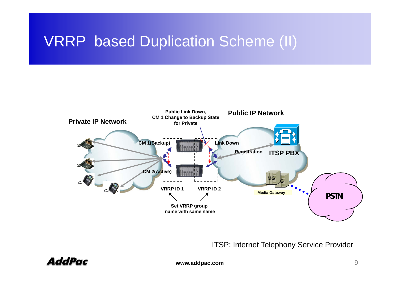### VRRP based Duplication Scheme (II)



ITSP: Internet Telephony Service Provider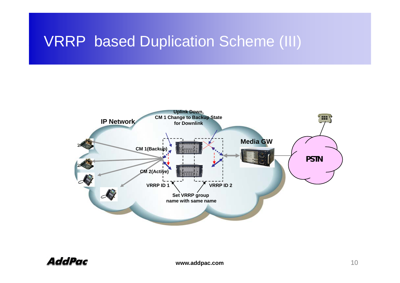#### VRRP based Duplication Scheme (III)